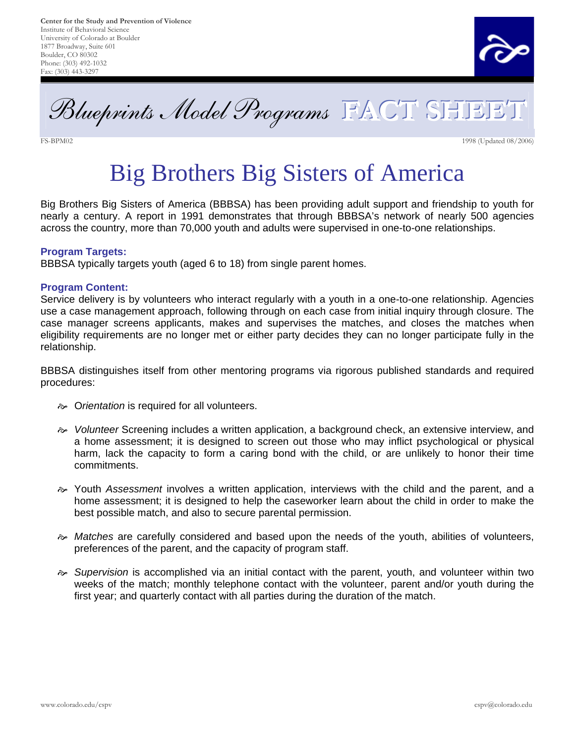

Blueprints Model Programs **FACT SHEET**

FS-BPM02 1998 (Updated 08/2006)

# Big Brothers Big Sisters of America

Big Brothers Big Sisters of America (BBBSA) has been providing adult support and friendship to youth for nearly a century. A report in 1991 demonstrates that through BBBSA's network of nearly 500 agencies across the country, more than 70,000 youth and adults were supervised in one-to-one relationships.

### **Program Targets:**

BBBSA typically targets youth (aged 6 to 18) from single parent homes.

#### **Program Content:**

Service delivery is by volunteers who interact regularly with a youth in a one-to-one relationship. Agencies use a case management approach, following through on each case from initial inquiry through closure. The case manager screens applicants, makes and supervises the matches, and closes the matches when eligibility requirements are no longer met or either party decides they can no longer participate fully in the relationship.

BBBSA distinguishes itself from other mentoring programs via rigorous published standards and required procedures:

- $\infty$  Orientation is required for all volunteers.
- $\gg$  Volunteer Screening includes a written application, a background check, an extensive interview, and a home assessment; it is designed to screen out those who may inflict psychological or physical harm, lack the capacity to form a caring bond with the child, or are unlikely to honor their time commitments.
- $\gg$  Youth Assessment involves a written application, interviews with the child and the parent, and a home assessment; it is designed to help the caseworker learn about the child in order to make the best possible match, and also to secure parental permission.
- $\gg$  Matches are carefully considered and based upon the needs of the youth, abilities of volunteers, preferences of the parent, and the capacity of program staff.
- $\sim$  Supervision is accomplished via an initial contact with the parent, youth, and volunteer within two weeks of the match; monthly telephone contact with the volunteer, parent and/or youth during the first year; and quarterly contact with all parties during the duration of the match.